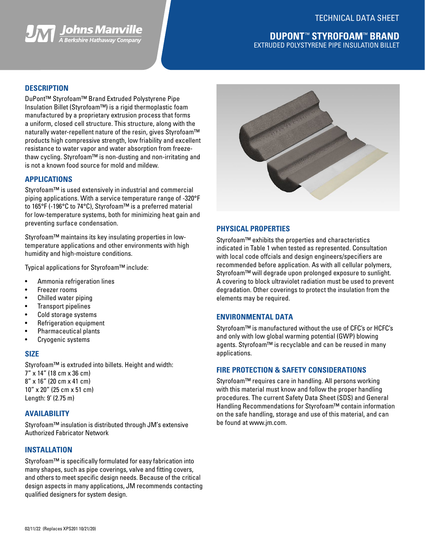



## **DUPONT**™ **STYROFOAM**™ **BRAND** EXTRUDED POLYSTYRENE PIPE INSULATION BILLET

## **DESCRIPTION**

DuPont™ Styrofoam™ Brand Extruded Polystyrene Pipe Insulation Billet (Styrofoam™) is a rigid thermoplastic foam manufactured by a proprietary extrusion process that forms a uniform, closed cell structure. This structure, along with the naturally water-repellent nature of the resin, gives Styrofoam™ products high compressive strength, low friability and excellent resistance to water vapor and water absorption from freezethaw cycling. Styrofoam™ is non-dusting and non-irritating and is not a known food source for mold and mildew.

### **APPLICATIONS**

Styrofoam™ is used extensively in industrial and commercial piping applications. With a service temperature range of -320°F to 165°F (-196°C to 74°C), Styrofoam™ is a preferred material for low-temperature systems, both for minimizing heat gain and preventing surface condensation.

Styrofoam™ maintains its key insulating properties in lowtemperature applications and other environments with high humidity and high-moisture conditions.

Typical applications for Styrofoam™ include:

- Ammonia refrigeration lines
- Freezer rooms
- Chilled water piping
- Transport pipelines
- Cold storage systems
- Refrigeration equipment
- Pharmaceutical plants
- Cryogenic systems

### **SIZE**

Styrofoam™ is extruded into billets. Height and width: 7" x 14" (18 cm x 36 cm) 8" x 16" (20 cm x 41 cm) 10" x 20" (25 cm x 51 cm) Length: 9' (2.75 m)

### **AVAILABILITY**

Styrofoam™ insulation is distributed through JM's extensive Authorized Fabricator Network

### **INSTALLATION**

Styrofoam™ is specifically formulated for easy fabrication into many shapes, such as pipe coverings, valve and fitting covers, and others to meet specific design needs. Because of the critical design aspects in many applications, JM recommends contacting qualified designers for system design.



### **PHYSICAL PROPERTIES**

Styrofoam™ exhibits the properties and characteristics indicated in Table 1 when tested as represented. Consultation with local code offcials and design engineers/specifiers are recommended before application. As with all cellular polymers, Styrofoam™ will degrade upon prolonged exposure to sunlight. A covering to block ultraviolet radiation must be used to prevent degradation. Other coverings to protect the insulation from the elements may be required.

#### **ENVIRONMENTAL DATA**

Styrofoam™ is manufactured without the use of CFC's or HCFC's and only with low global warming potential (GWP) blowing agents. Styrofoam™ is recyclable and can be reused in many applications.

### **FIRE PROTECTION & SAFETY CONSIDERATIONS**

Styrofoam™ requires care in handling. All persons working with this material must know and follow the proper handling procedures. The current Safety Data Sheet (SDS) and General Handling Recommendations for Styrofoam™ contain information on the safe handling, storage and use of this material, and can be found at www.jm.com.